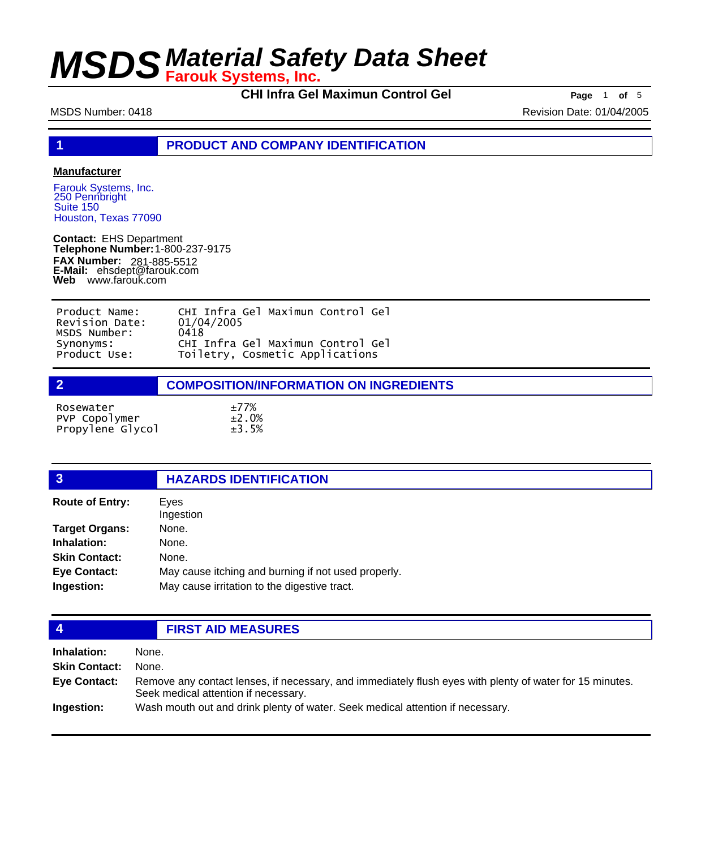**CHI Infra Gel Maximun Control Gel <b>Page** 1 of 5

MSDS Number: 0418 **MSDS Number: 0418** Revision Date: 01/04/2005

**1 PRODUCT AND COMPANY IDENTIFICATION**

### **Manufacturer**

Farouk Systems, Inc. 250 Pennbright Suite 150 Houston, Texas 77090

**Contact:** EHS Department **Telephone Number:** 1-800-237-9175 **FAX Number: FAX Number:** 281-885-5512<br>**E-Mail:** ehsdept@farouk.com **Web** www.farouk.com

| Product Name:  | CHI Infra Gel Maximun Control Gel |
|----------------|-----------------------------------|
| Revision Date: | 01/04/2005                        |
| MSDS Number:   | 0418                              |
| Synonyms:      | CHI Infra Gel Maximun Control Gel |
| Product Use:   | Toiletry, Cosmetic Applications   |

**2 COMPOSITION/INFORMATION ON INGREDIENTS** 

| Rosewater        | ±77%        |
|------------------|-------------|
| PVP Copolymer    | $\pm 2.0\%$ |
| Propylene Glycol | ±3.5%       |

| $\mathbf{3}$           | <b>HAZARDS IDENTIFICATION</b>                       |  |
|------------------------|-----------------------------------------------------|--|
| <b>Route of Entry:</b> | Eyes<br>Ingestion                                   |  |
| <b>Target Organs:</b>  | None.                                               |  |
| Inhalation:            | None.                                               |  |
| <b>Skin Contact:</b>   | None.                                               |  |
| <b>Eye Contact:</b>    | May cause itching and burning if not used properly. |  |
| Ingestion:             | May cause irritation to the digestive tract.        |  |
|                        |                                                     |  |

## **4 FIRST AID MEASURES**

**Inhalation:** None. **Skin Contact:** None. Remove any contact lenses, if necessary, and immediately flush eyes with plenty of water for 15 minutes. Seek medical attention if necessary. **Eye Contact: Ingestion:** Wash mouth out and drink plenty of water. Seek medical attention if necessary.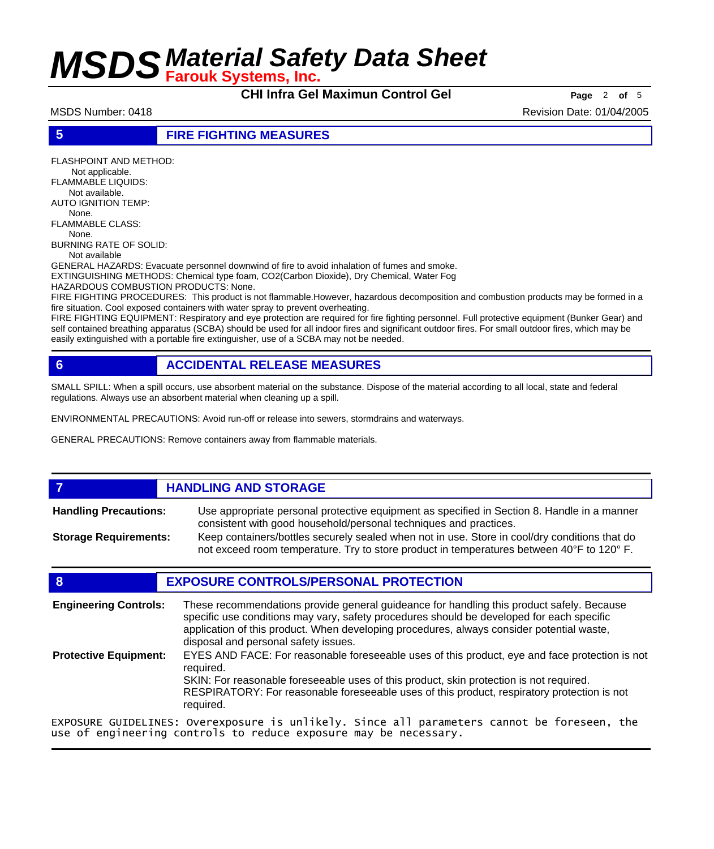**CHI Infra Gel Maximun Control Gel Page** <sup>2</sup> **of** <sup>5</sup>

MSDS Number: 0418 Revision Date: 01/04/2005

### **5 FIRE FIGHTING MEASURES**

FLASHPOINT AND METHOD: Not applicable. FLAMMABLE LIQUIDS: Not available. AUTO IGNITION TEMP: None. FLAMMABLE CLASS: None. BURNING RATE OF SOLID: Not available GENERAL HAZARDS: Evacuate personnel downwind of fire to avoid inhalation of fumes and smoke. EXTINGUISHING METHODS: Chemical type foam, CO2(Carbon Dioxide), Dry Chemical, Water Fog HAZARDOUS COMBUSTION PRODUCTS: None. FIRE FIGHTING PROCEDURES: This product is not flammable.However, hazardous decomposition and combustion products may be formed in a

fire situation. Cool exposed containers with water spray to prevent overheating. FIRE FIGHTING EQUIPMENT: Respiratory and eye protection are required for fire fighting personnel. Full protective equipment (Bunker Gear) and

self contained breathing apparatus (SCBA) should be used for all indoor fires and significant outdoor fires. For small outdoor fires, which may be easily extinguished with a portable fire extinguisher, use of a SCBA may not be needed.

## **6 ACCIDENTAL RELEASE MEASURES**

SMALL SPILL: When a spill occurs, use absorbent material on the substance. Dispose of the material according to all local, state and federal regulations. Always use an absorbent material when cleaning up a spill.

ENVIRONMENTAL PRECAUTIONS: Avoid run-off or release into sewers, stormdrains and waterways.

GENERAL PRECAUTIONS: Remove containers away from flammable materials.

## *HANDLING AND STORAGE*

Use appropriate personal protective equipment as specified in Section 8. Handle in a manner consistent with good household/personal techniques and practices. **Handling Precautions:** Keep containers/bottles securely sealed when not in use. Store in cool/dry conditions that do **Storage Requirements:**

not exceed room temperature. Try to store product in temperatures between 40°F to 120° F.

## **8 EXPOSURE CONTROLS/PERSONAL PROTECTION**

| <b>Engineering Controls:</b> | These recommendations provide general guideance for handling this product safely. Because<br>specific use conditions may vary, safety procedures should be developed for each specific<br>application of this product. When developing procedures, always consider potential waste,<br>disposal and personal safety issues. |  |
|------------------------------|-----------------------------------------------------------------------------------------------------------------------------------------------------------------------------------------------------------------------------------------------------------------------------------------------------------------------------|--|
| <b>Protective Equipment:</b> | EYES AND FACE: For reasonable foreseeable uses of this product, eye and face protection is not<br>reauired.<br>SKIN: For reasonable foreseeable uses of this product, skin protection is not required.<br>RESPIRATORY: For reasonable foreseeable uses of this product, respiratory protection is not<br>required.          |  |
|                              | EXPOSURE GUIDELINES: Overexposure is unlikely. Since all parameters cannot be foreseen, the                                                                                                                                                                                                                                 |  |

EXPOSURE GUIDELINES: Overexposure is unlikely. Since all parameters cannot be foreseen, the use of engineering controls to reduce exposure may be necessary.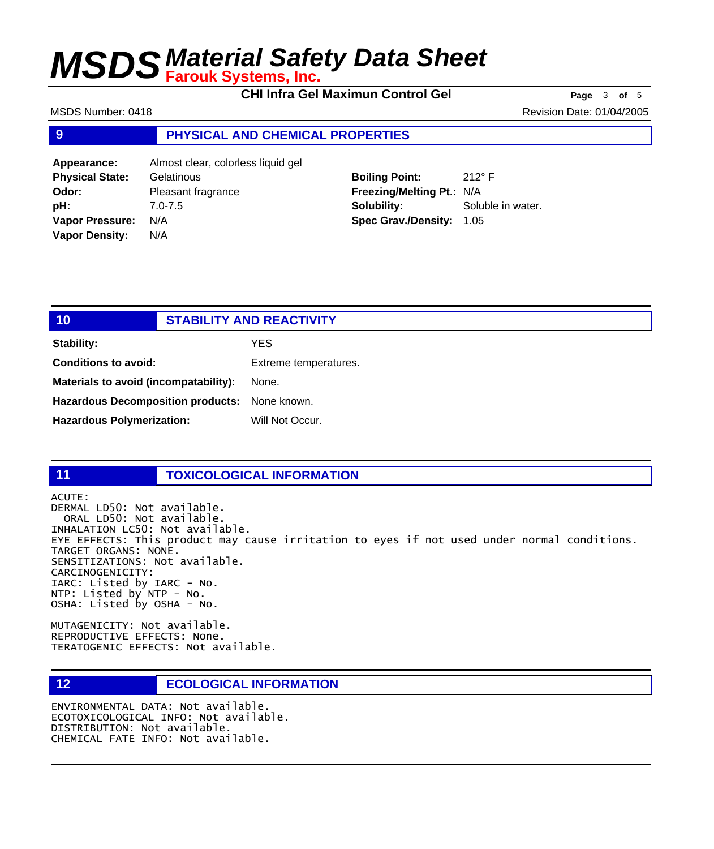**CHI Infra Gel Maximun Control Gel Page** <sup>3</sup> **of** <sup>5</sup>

MSDS Number: 0418 **Revision Date: 01/04/2005** Revision Date: 01/04/2005

### **9 PHYSICAL AND CHEMICAL PROPERTIES**

| Appearance:            | Almost clear, colorless liquid gel |
|------------------------|------------------------------------|
| <b>Physical State:</b> | Gelatinous                         |
| Odor:                  | Pleasant fragrance                 |
| pH:                    | $7.0 - 7.5$                        |
| <b>Vapor Pressure:</b> | N/A                                |
| <b>Vapor Density:</b>  | N/A                                |

**Boiling Point:** 212° F **Freezing/Melting Pt.:** N/A **Solubility:** Soluble in water. **Spec Grav./Density:** 1.05

| 10 <sub>1</sub>                               | <b>STABILITY AND REACTIVITY</b> |
|-----------------------------------------------|---------------------------------|
| <b>Stability:</b>                             | YES.                            |
| <b>Conditions to avoid:</b>                   | Extreme temperatures.           |
| Materials to avoid (incompatability):         | None.                           |
| Hazardous Decomposition products: None known. |                                 |
| <b>Hazardous Polymerization:</b>              | Will Not Occur.                 |
|                                               |                                 |

### **11 TOXICOLOGICAL INFORMATION**

ACUTE: DERMAL LD50: Not available. ORAL LD50: Not available. INHALATION LC50: Not available. EYE EFFECTS: This product may cause irritation to eyes if not used under normal conditions. TARGET ORGANS: NONE. SENSITIZATIONS: Not available. CARCINOGENICITY: IARC: Listed by IARC - No. NTP: Listed by NTP - No. OSHA: Listed by OSHA - No.

MUTAGENICITY: Not available. REPRODUCTIVE EFFECTS: None. TERATOGENIC EFFECTS: Not available.

## **12 ECOLOGICAL INFORMATION**

ENVIRONMENTAL DATA: Not available. ECOTOXICOLOGICAL INFO: Not available. DISTRIBUTION: Not available. CHEMICAL FATE INFO: Not available.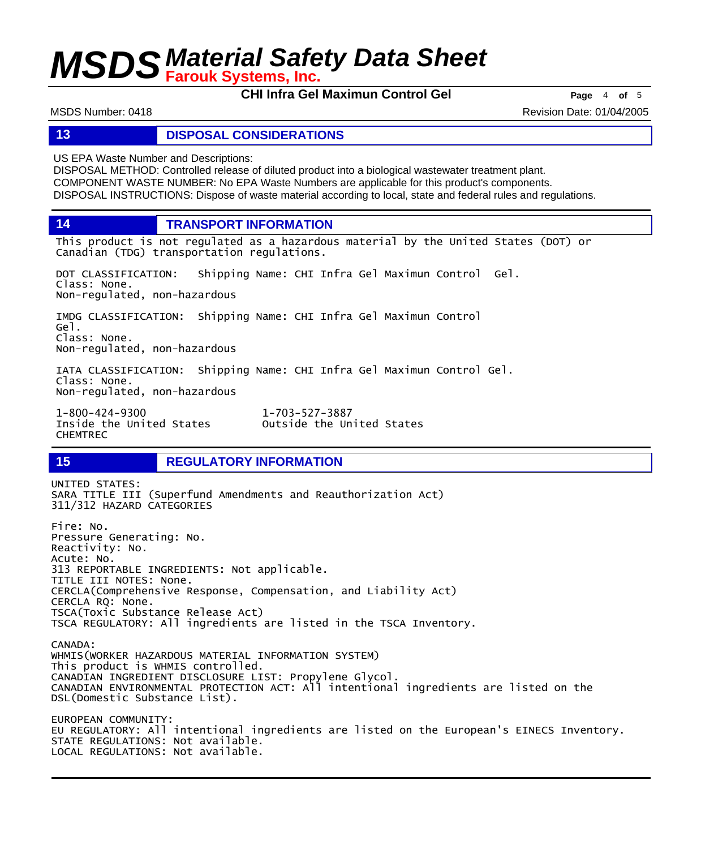**CHI Infra Gel Maximun Control Gel Page** <sup>4</sup> **of** <sup>5</sup>

MSDS Number: 0418 Revision Date: 01/04/2005

### **13 DISPOSAL CONSIDERATIONS**

US EPA Waste Number and Descriptions:

DISPOSAL METHOD: Controlled release of diluted product into a biological wastewater treatment plant. COMPONENT WASTE NUMBER: No EPA Waste Numbers are applicable for this product's components. DISPOSAL INSTRUCTIONS: Dispose of waste material according to local, state and federal rules and regulations.

**14 TRANSPORT INFORMATION**

This product is not regulated as a hazardous material by the United States (DOT) or Canadian (TDG) transportation regulations.

DOT CLASSIFICATION: Shipping Name: CHI Infra Gel Maximun Control Gel. Class: None. Non-regulated, non-hazardous

IMDG CLASSIFICATION: Shipping Name: CHI Infra Gel Maximun Control Gel. Class: None. Non-regulated, non-hazardous

IATA CLASSIFICATION: Shipping Name: CHI Infra Gel Maximun Control Gel. Class: None. Non-regulated, non-hazardous

1-800-424-9300 1-703-527-3887 Inside the United States CHEMTREC

## **15 REGULATORY INFORMATION**

UNITED STATES: SARA TITLE III (Superfund Amendments and Reauthorization Act) 311/312 HAZARD CATEGORIES Fire: No. Pressure Generating: No. Reactivity: No. Acute: No. 313 REPORTABLE INGREDIENTS: Not applicable. TITLE III NOTES: None. CERCLA(Comprehensive Response, Compensation, and Liability Act) CERCLA RQ: None. TSCA(Toxic Substance Release Act) TSCA REGULATORY: All ingredients are listed in the TSCA Inventory. CANADA: WHMIS(WORKER HAZARDOUS MATERIAL INFORMATION SYSTEM) This product is WHMIS controlled. CANADIAN INGREDIENT DISCLOSURE LIST: Propylene Glycol. CANADIAN ENVIRONMENTAL PROTECTION ACT: All intentional ingredients are listed on the DSL(Domestic Substance List). EUROPEAN COMMUNITY: EU REGULATORY: All intentional ingredients are listed on the European's EINECS Inventory. STATE REGULATIONS: Not available. LOCAL REGULATIONS: Not available.